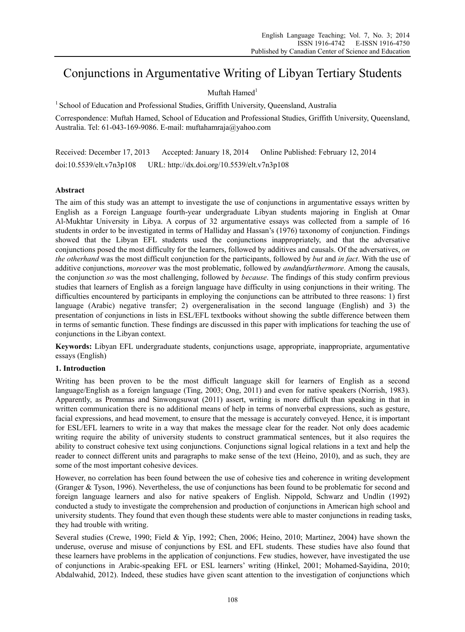# Conjunctions in Argumentative Writing of Libyan Tertiary Students

# Muftah Hamed $1$

<sup>1</sup> School of Education and Professional Studies, Griffith University, Queensland, Australia

Correspondence: Muftah Hamed, School of Education and Professional Studies, Griffith University, Queensland, Australia. Tel: 61-043-169-9086. E-mail: muftahamraja@yahoo.com

Received: December 17, 2013 Accepted: January 18, 2014 Online Published: February 12, 2014 doi:10.5539/elt.v7n3p108 URL: http://dx.doi.org/10.5539/elt.v7n3p108

## **Abstract**

The aim of this study was an attempt to investigate the use of conjunctions in argumentative essays written by English as a Foreign Language fourth-year undergraduate Libyan students majoring in English at Omar Al-Mukhtar University in Libya. A corpus of 32 argumentative essays was collected from a sample of 16 students in order to be investigated in terms of Halliday and Hassan's (1976) taxonomy of conjunction. Findings showed that the Libyan EFL students used the conjunctions inappropriately, and that the adversative conjunctions posed the most difficulty for the learners, followed by additives and causals. Of the adversatives, *on the otherhand* was the most difficult conjunction for the participants, followed by *but* and *in fact*. With the use of additive conjunctions, *moreover* was the most problematic, followed by *and*and*furthermore*. Among the causals, the conjunction *so* was the most challenging, followed by *because*. The findings of this study confirm previous studies that learners of English as a foreign language have difficulty in using conjunctions in their writing. The difficulties encountered by participants in employing the conjunctions can be attributed to three reasons: 1) first language (Arabic) negative transfer; 2) overgeneralisation in the second language (English) and 3) the presentation of conjunctions in lists in ESL/EFL textbooks without showing the subtle difference between them in terms of semantic function. These findings are discussed in this paper with implications for teaching the use of conjunctions in the Libyan context.

**Keywords:** Libyan EFL undergraduate students, conjunctions usage, appropriate, inappropriate, argumentative essays (English)

## **1. Introduction**

Writing has been proven to be the most difficult language skill for learners of English as a second language/English as a foreign language (Ting, 2003; Ong, 2011) and even for native speakers (Norrish, 1983). Apparently, as Prommas and Sinwongsuwat (2011) assert, writing is more difficult than speaking in that in written communication there is no additional means of help in terms of nonverbal expressions, such as gesture, facial expressions, and head movement, to ensure that the message is accurately conveyed. Hence, it is important for ESL/EFL learners to write in a way that makes the message clear for the reader. Not only does academic writing require the ability of university students to construct grammatical sentences, but it also requires the ability to construct cohesive text using conjunctions. Conjunctions signal logical relations in a text and help the reader to connect different units and paragraphs to make sense of the text (Heino, 2010), and as such, they are some of the most important cohesive devices.

However, no correlation has been found between the use of cohesive ties and coherence in writing development (Granger & Tyson, 1996). Nevertheless, the use of conjunctions has been found to be problematic for second and foreign language learners and also for native speakers of English. Nippold, Schwarz and Undlin (1992) conducted a study to investigate the comprehension and production of conjunctions in American high school and university students. They found that even though these students were able to master conjunctions in reading tasks, they had trouble with writing.

Several studies (Crewe, 1990; Field & Yip, 1992; Chen, 2006; Heino, 2010; Martinez, 2004) have shown the underuse, overuse and misuse of conjunctions by ESL and EFL students. These studies have also found that these learners have problems in the application of conjunctions. Few studies, however, have investigated the use of conjunctions in Arabic-speaking EFL or ESL learners' writing (Hinkel, 2001; Mohamed-Sayidina, 2010; Abdalwahid, 2012). Indeed, these studies have given scant attention to the investigation of conjunctions which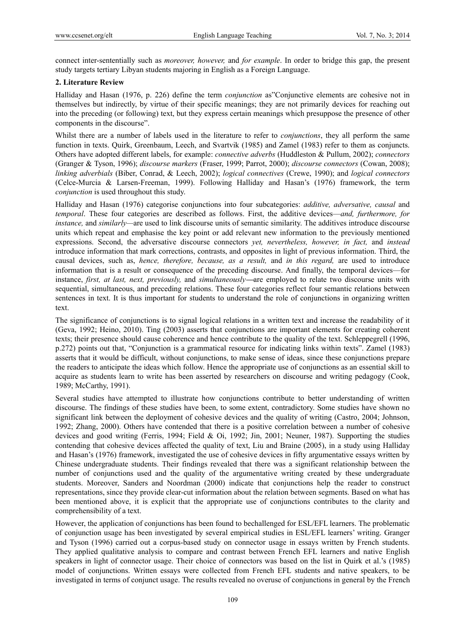connect inter-sententially such as *moreover, however,* and *for example*. In order to bridge this gap, the present study targets tertiary Libyan students majoring in English as a Foreign Language.

## **2. Literature Review**

Halliday and Hasan (1976, p. 226) define the term *conjunction* as"Conjunctive elements are cohesive not in themselves but indirectly, by virtue of their specific meanings; they are not primarily devices for reaching out into the preceding (or following) text, but they express certain meanings which presuppose the presence of other components in the discourse".

Whilst there are a number of labels used in the literature to refer to *conjunctions*, they all perform the same function in texts. Quirk, Greenbaum, Leech, and Svartvik (1985) and Zamel (1983) refer to them as conjuncts. Others have adopted different labels, for example: *connective adverbs* (Huddleston & Pullum, 2002); *connectors* (Granger & Tyson, 1996); *discourse markers* (Fraser, 1999; Parrot, 2000); *discourse connectors* (Cowan, 2008); *linking adverbials* (Biber, Conrad, & Leech, 2002); *logical connectives* (Crewe, 1990); and *logical connectors* (Celce-Murcia & Larsen-Freeman, 1999). Following Halliday and Hasan's (1976) framework, the term *conjunction* is used throughout this study.

Halliday and Hasan (1976) categorise conjunctions into four subcategories: *additive, adversative, causal* and *temporal*. These four categories are described as follows. First, the additive devices—*and, furthermore, for instance,* and *similarly—*are used to link discourse units of semantic similarity. The additives introduce discourse units which repeat and emphasise the key point or add relevant new information to the previously mentioned expressions. Second, the adversative discourse connectors *yet, nevertheless, however, in fact,* and *instead* introduce information that mark corrections, contrasts, and opposites in light of previous information. Third, the causal devices, such as, *hence, therefore, because, as a result,* and *in this regard,* are used to introduce information that is a result or consequence of the preceding discourse. And finally, the temporal devices—for instance, *first, at last, next, previously,* and *simultaneously***—**are employed to relate two discourse units with sequential, simultaneous, and preceding relations. These four categories reflect four semantic relations between sentences in text. It is thus important for students to understand the role of conjunctions in organizing written text.

The significance of conjunctions is to signal logical relations in a written text and increase the readability of it (Geva, 1992; Heino, 2010). Ting (2003) asserts that conjunctions are important elements for creating coherent texts; their presence should cause coherence and hence contribute to the quality of the text. Schleppegrell (1996, p.272) points out that, "Conjunction is a grammatical resource for indicating links within texts". Zamel (1983) asserts that it would be difficult, without conjunctions, to make sense of ideas, since these conjunctions prepare the readers to anticipate the ideas which follow. Hence the appropriate use of conjunctions as an essential skill to acquire as students learn to write has been asserted by researchers on discourse and writing pedagogy (Cook, 1989; McCarthy, 1991).

Several studies have attempted to illustrate how conjunctions contribute to better understanding of written discourse. The findings of these studies have been, to some extent, contradictory. Some studies have shown no significant link between the deployment of cohesive devices and the quality of writing (Castro, 2004; Johnson, 1992; Zhang, 2000). Others have contended that there is a positive correlation between a number of cohesive devices and good writing (Ferris, 1994; Field & Oi, 1992; Jin, 2001; Neuner, 1987). Supporting the studies contending that cohesive devices affected the quality of text, Liu and Braine (2005), in a study using Halliday and Hasan's (1976) framework, investigated the use of cohesive devices in fifty argumentative essays written by Chinese undergraduate students. Their findings revealed that there was a significant relationship between the number of conjunctions used and the quality of the argumentative writing created by these undergraduate students. Moreover, Sanders and Noordman (2000) indicate that conjunctions help the reader to construct representations, since they provide clear-cut information about the relation between segments. Based on what has been mentioned above, it is explicit that the appropriate use of conjunctions contributes to the clarity and comprehensibility of a text.

However, the application of conjunctions has been found to bechallenged for ESL/EFL learners. The problematic of conjunction usage has been investigated by several empirical studies in ESL/EFL learners' writing. Granger and Tyson (1996) carried out a corpus-based study on connector usage in essays written by French students. They applied qualitative analysis to compare and contrast between French EFL learners and native English speakers in light of connector usage. Their choice of connectors was based on the list in Quirk et al.'s (1985) model of conjunctions. Written essays were collected from French EFL students and native speakers, to be investigated in terms of conjunct usage. The results revealed no overuse of conjunctions in general by the French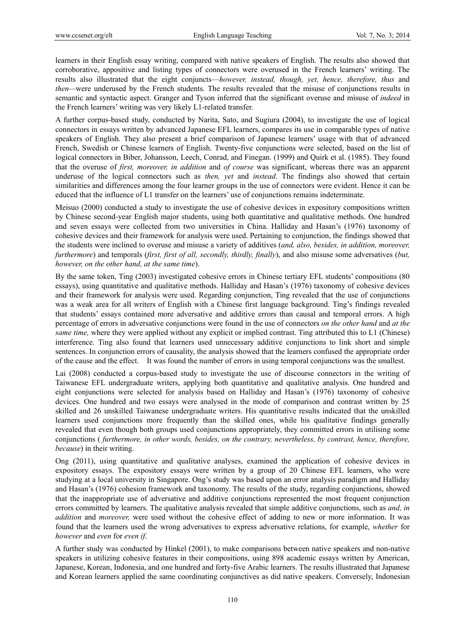learners in their English essay writing, compared with native speakers of English. The results also showed that corroborative, appositive and listing types of connectors were overused in the French learners' writing. The results also illustrated that the eight conjuncts—*however, instead, though, yet, hence, therefore, thus* and *then*—were underused by the French students. The results revealed that the misuse of conjunctions results in semantic and syntactic aspect. Granger and Tyson inferred that the significant overuse and misuse of *indeed* in the French learners' writing was very likely L1-related transfer.

A further corpus-based study, conducted by Narita, Sato, and Sugiura (2004), to investigate the use of logical connectors in essays written by advanced Japanese EFL learners, compares its use in comparable types of native speakers of English. They also present a brief comparison of Japanese learners' usage with that of advanced French, Swedish or Chinese learners of English. Twenty-five conjunctions were selected, based on the list of logical connectors in Biber, Johansson, Leech, Conrad, and Finegan. (1999) and Quirk et al. (1985). They found that the overuse of *first, moreover, in addition* and *of course* was significant, whereas there was an apparent underuse of the logical connectors such as *then, yet* and *instead*. The findings also showed that certain similarities and differences among the four learner groups in the use of connectors were evident. Hence it can be educed that the influence of L1 transfer on the learners' use of conjunctions remains indeterminate.

Meisuo (2000) conducted a study to investigate the use of cohesive devices in expository compositions written by Chinese second-year English major students, using both quantitative and qualitative methods. One hundred and seven essays were collected from two universities in China. Halliday and Hasan's (1976) taxonomy of cohesive devices and their framework for analysis were used. Pertaining to conjunction, the findings showed that the students were inclined to overuse and misuse a variety of additives (*and, also, besides, in addition, moreover, furthermore*) and temporals (*first, first of all, secondly, thirdly, finally*), and also misuse some adversatives (*but, however, on the other hand, at the same time*).

By the same token, Ting (2003) investigated cohesive errors in Chinese tertiary EFL students' compositions (80 essays), using quantitative and qualitative methods. Halliday and Hasan's (1976) taxonomy of cohesive devices and their framework for analysis were used. Regarding conjunction, Ting revealed that the use of conjunctions was a weak area for all writers of English with a Chinese first language background. Ting's findings revealed that students' essays contained more adversative and additive errors than causal and temporal errors. A high percentage of errors in adversative conjunctions were found in the use of connectors *on the other hand* and *at the same time,* where they were applied without any explicit or implied contrast. Ting attributed this to L1 (Chinese) interference. Ting also found that learners used unnecessary additive conjunctions to link short and simple sentences. In conjunction errors of causality, the analysis showed that the learners confused the appropriate order of the cause and the effect. It was found the number of errors in using temporal conjunctions was the smallest.

Lai (2008) conducted a corpus-based study to investigate the use of discourse connectors in the writing of Taiwanese EFL undergraduate writers, applying both quantitative and qualitative analysis. One hundred and eight conjunctions were selected for analysis based on Halliday and Hasan's (1976) taxonomy of cohesive devices. One hundred and two essays were analysed in the mode of comparison and contrast written by 25 skilled and 26 unskilled Taiwanese undergraduate writers. His quantitative results indicated that the unskilled learners used conjunctions more frequently than the skilled ones, while his qualitative findings generally revealed that even though both groups used conjunctions appropriately, they committed errors in utilising some conjunctions ( *furthermore, in other words, besides, on the contrary, nevertheless, by contrast, hence, therefore, because*) in their writing.

Ong (2011), using quantitative and qualitative analyses, examined the application of cohesive devices in expository essays. The expository essays were written by a group of 20 Chinese EFL learners, who were studying at a local university in Singapore. Ong's study was based upon an error analysis paradigm and Halliday and Hasan's (1976) cohesion framework and taxonomy. The results of the study, regarding conjunctions, showed that the inappropriate use of adversative and additive conjunctions represented the most frequent conjunction errors committed by learners. The qualitative analysis revealed that simple additive conjunctions, such as *and, in addition* and *moreover,* were used without the cohesive effect of adding to new or more information. It was found that the learners used the wrong adversatives to express adversative relations, for example, *whether* for *however* and *even* for *even if*.

A further study was conducted by Hinkel (2001), to make comparisons between native speakers and non-native speakers in utilizing cohesive features in their compositions, using 898 academic essays written by American, Japanese, Korean, Indonesia, and one hundred and forty-five Arabic learners. The results illustrated that Japanese and Korean learners applied the same coordinating conjunctives as did native speakers. Conversely, Indonesian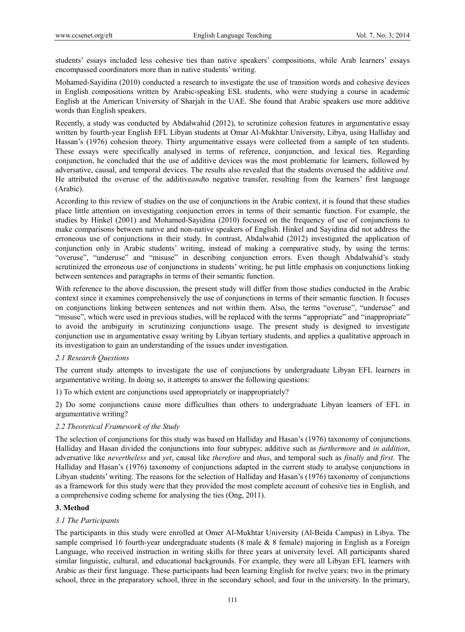students' essays included less cohesive ties than native speakers' compositions, while Arab learners' essays encompassed coordinators more than in native students' writing.

Mohamed-Sayidina (2010) conducted a research to investigate the use of transition words and cohesive devices in English compositions written by Arabic-speaking ESL students, who were studying a course in academic English at the American University of Sharjah in the UAE. She found that Arabic speakers use more additive words than English speakers.

Recently, a study was conducted by Abdalwahid (2012), to scrutinize cohesion features in argumentative essay written by fourth-year English EFL Libyan students at Omar Al-Mukhtar University, Libya, using Halliday and Hassan's (1976) cohesion theory. Thirty argumentative essays were collected from a sample of ten students. These essays were specifically analysed in terms of reference, conjunction, and lexical ties. Regarding conjunction, he concluded that the use of additive devices was the most problematic for learners, followed by adversative, causal, and temporal devices. The results also revealed that the students overused the additive *and.*  He attributed the overuse of the additive*and*to negative transfer, resulting from the learners' first language (Arabic).

According to this review of studies on the use of conjunctions in the Arabic context, it is found that these studies place little attention on investigating conjunction errors in terms of their semantic function. For example, the studies by Hinkel (2001) and Mohamed-Sayidina (2010) focused on the frequency of use of conjunctions to make comparisons between native and non-native speakers of English. Hinkel and Sayidina did not address the erroneous use of conjunctions in their study. In contrast, Abdalwahid (2012) investigated the application of conjunction only in Arabic students' writing, instead of making a comparative study, by using the terms: "overuse", "underuse" and "misuse" in describing conjunction errors. Even though Abdalwahid's study scrutinized the erroneous use of conjunctions in students' writing, he put little emphasis on conjunctions linking between sentences and paragraphs in terms of their semantic function.

With reference to the above discussion, the present study will differ from those studies conducted in the Arabic context since it examines comprehensively the use of conjunctions in terms of their semantic function. It focuses on conjunctions linking between sentences and not within them. Also, the terms "overuse", "underuse" and "misuse", which were used in previous studies, will be replaced with the terms "appropriate" and "inappropriate" to avoid the ambiguity in scrutinizing conjunctions usage. The present study is designed to investigate conjunction use in argumentative essay writing by Libyan tertiary students, and applies a qualitative approach in its investigation to gain an understanding of the issues under investigation.

## *2.1 Research Questions*

The current study attempts to investigate the use of conjunctions by undergraduate Libyan EFL learners in argumentative writing. In doing so, it attempts to answer the following questions:

1) To which extent are conjunctions used appropriately or inappropriately?

2) Do some conjunctions cause more difficulties than others to undergraduate Libyan learners of EFL in argumentative writing?

## *2.2 Theoretical Framework of the Study*

The selection of conjunctions for this study was based on Halliday and Hasan's (1976) taxonomy of conjunctions. Halliday and Hasan divided the conjunctions into four subtypes; additive such as *furthermore* and *in addition*, adversative like *nevertheless* and *yet*, causal like *therefore* and *thus*, and temporal such as *finally* and *first*. The Halliday and Hasan's (1976) taxonomy of conjunctions adapted in the current study to analyse conjunctions in Libyan students' writing. The reasons for the selection of Halliday and Hasan's (1976) taxonomy of conjunctions as a framework for this study were that they provided the most complete account of cohesive ties in English, and a comprehensive coding scheme for analysing the ties (Ong, 2011).

## **3. Method**

## *3.1 The Participants*

The participants in this study were enrolled at Omer Al-Mukhtar University (Al-Beida Campus) in Libya. The sample comprised 16 fourth-year undergraduate students (8 male & 8 female) majoring in English as a Foreign Language, who received instruction in writing skills for three years at university level. All participants shared similar linguistic, cultural, and educational backgrounds. For example, they were all Libyan EFL learners with Arabic as their first language. These participants had been learning English for twelve years: two in the primary school, three in the preparatory school, three in the secondary school, and four in the university. In the primary,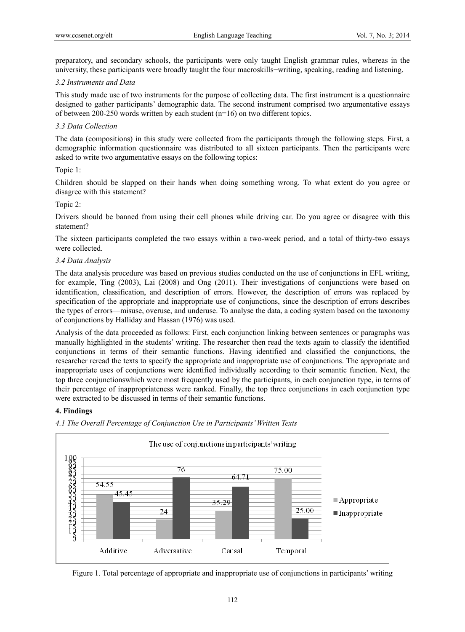preparatory, and secondary schools, the participants were only taught English grammar rules, whereas in the university, these participants were broadly taught the four macroskills−writing, speaking, reading and listening.

## *3.2 Instruments and Data*

This study made use of two instruments for the purpose of collecting data. The first instrument is a questionnaire designed to gather participants' demographic data. The second instrument comprised two argumentative essays of between 200-250 words written by each student (n=16) on two different topics.

## *3.3 Data Collection*

The data (compositions) in this study were collected from the participants through the following steps. First, a demographic information questionnaire was distributed to all sixteen participants. Then the participants were asked to write two argumentative essays on the following topics:

#### Topic 1:

Children should be slapped on their hands when doing something wrong. To what extent do you agree or disagree with this statement?

#### Topic 2:

Drivers should be banned from using their cell phones while driving car. Do you agree or disagree with this statement?

The sixteen participants completed the two essays within a two-week period, and a total of thirty-two essays were collected.

#### *3.4 Data Analysis*

The data analysis procedure was based on previous studies conducted on the use of conjunctions in EFL writing, for example, Ting (2003), Lai (2008) and Ong (2011). Their investigations of conjunctions were based on identification, classification, and description of errors. However, the description of errors was replaced by specification of the appropriate and inappropriate use of conjunctions, since the description of errors describes the types of errors—misuse, overuse, and underuse. To analyse the data, a coding system based on the taxonomy of conjunctions by Halliday and Hassan (1976) was used.

Analysis of the data proceeded as follows: First, each conjunction linking between sentences or paragraphs was manually highlighted in the students' writing. The researcher then read the texts again to classify the identified conjunctions in terms of their semantic functions. Having identified and classified the conjunctions, the researcher reread the texts to specify the appropriate and inappropriate use of conjunctions. The appropriate and inappropriate uses of conjunctions were identified individually according to their semantic function. Next, the top three conjunctionswhich were most frequently used by the participants, in each conjunction type, in terms of their percentage of inappropriateness were ranked. Finally, the top three conjunctions in each conjunction type were extracted to be discussed in terms of their semantic functions.

## **4. Findings**



*4.1 The Overall Percentage of Conjunction Use in Participants' Written Texts* 

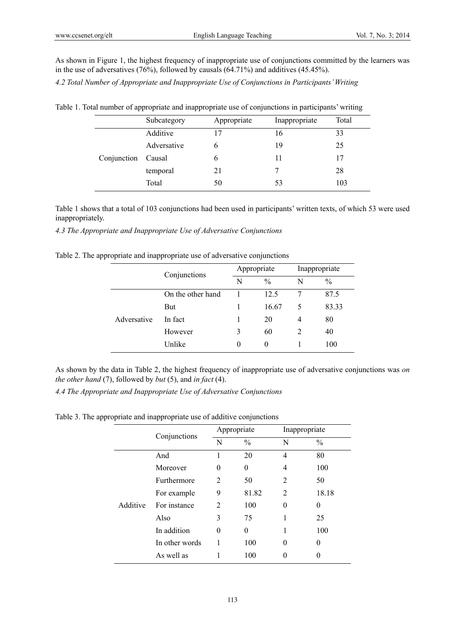As shown in Figure 1, the highest frequency of inappropriate use of conjunctions committed by the learners was in the use of adversatives (76%), followed by causals (64.71%) and additives (45.45%).

*4.2 Total Number of Appropriate and Inappropriate Use of Conjunctions in Participants' Writing* 

|             | Subcategory | Appropriate | Inappropriate | Total |
|-------------|-------------|-------------|---------------|-------|
|             | Additive    | 17          | 16            | 33    |
|             | Adversative | 6           | 19            | 25    |
| Conjunction | Causal      | b           | 11            | 17    |
|             | temporal    | 21          |               | 28    |
|             | Total       | 50          | 53            | 103   |

Table 1. Total number of appropriate and inappropriate use of conjunctions in participants' writing

Table 1 shows that a total of 103 conjunctions had been used in participants' written texts, of which 53 were used inappropriately.

*4.3 The Appropriate and Inappropriate Use of Adversative Conjunctions* 

|  |  | Table 2. The appropriate and inappropriate use of adversative conjunctions |
|--|--|----------------------------------------------------------------------------|
|  |  |                                                                            |

|             | Conjunctions      | Appropriate |               | Inappropriate |               |
|-------------|-------------------|-------------|---------------|---------------|---------------|
|             |                   | N           | $\frac{0}{0}$ | N             | $\frac{0}{0}$ |
| Adversative | On the other hand |             | 12.5          |               | 87.5          |
|             | But               |             | 16.67         | 5             | 83.33         |
|             | In fact           |             | 20            | 4             | 80            |
|             | However           | 3           | 60            | 2             | 40            |
|             | Unlike            | 0           | 0             |               | 100           |

As shown by the data in Table 2, the highest frequency of inappropriate use of adversative conjunctions was *on the other hand* (7), followed by *but* (5), and *in fact* (4).

*4.4 The Appropriate and Inappropriate Use of Adversative Conjunctions* 

Table 3. The appropriate and inappropriate use of additive conjunctions

|          | Conjunctions   |   | Appropriate   |   | Inappropriate |  |
|----------|----------------|---|---------------|---|---------------|--|
|          |                | N | $\frac{0}{0}$ | N | $\frac{0}{0}$ |  |
|          | And            | 1 | 20            | 4 | 80            |  |
|          | Moreover       | 0 | 0             | 4 | 100           |  |
|          | Furthermore    | 2 | 50            | 2 | 50            |  |
| Additive | For example    | 9 | 81.82         | 2 | 18.18         |  |
|          | For instance   | 2 | 100           | 0 | $\Omega$      |  |
|          | Also           | 3 | 75            |   | 25            |  |
|          | In addition    | 0 | $\theta$      | 1 | 100           |  |
|          | In other words |   | 100           | 0 | 0             |  |
|          | As well as     |   | 100           |   |               |  |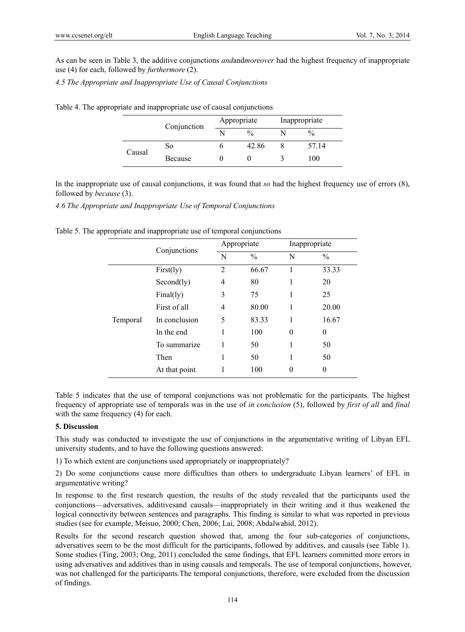As can be seen in Table 3, the additive conjunctions *and*and*moreover* had the highest frequency of inappropriate use (4) for each, followed by *furthermore* (2).

*4.5 The Appropriate and Inappropriate Use of Causal Conjunctions* 

|        | Conjunction | Appropriate   |  | Inappropriate |  |
|--------|-------------|---------------|--|---------------|--|
|        |             | $\frac{0}{0}$ |  | $\frac{0}{0}$ |  |
| Causal | So          | 42.86         |  | 57.14         |  |
|        | Because     |               |  | 100           |  |

Table 4. The appropriate and inappropriate use of causal conjunctions

In the inappropriate use of causal conjunctions, it was found that *so* had the highest frequency use of errors (8), followed by *because* (3).

*4.6 The Appropriate and Inappropriate Use of Temporal Conjunctions* 

Table 5. The appropriate and inappropriate use of temporal conjunctions

|          | Conjunctions  | Appropriate |               | Inappropriate |               |
|----------|---------------|-------------|---------------|---------------|---------------|
|          |               | N           | $\frac{0}{0}$ | N             | $\frac{0}{0}$ |
|          | First(ly)     | 2           | 66.67         |               | 33.33         |
|          | Second(ly)    | 4           | 80            | 1             | 20            |
| Temporal | Final(ly)     | 3           | 75            | 1             | 25            |
|          | First of all  | 4           | 80.00         | 1             | 20.00         |
|          | In conclusion | 5           | 83.33         | 1             | 16.67         |
|          | In the end    | 1           | 100           | 0             | 0             |
|          | To summarize  | 1           | 50            | 1             | 50            |
|          | Then          | 1           | 50            |               | 50            |
|          | At that point |             | 100           | 0             | 0             |

Table 5 indicates that the use of temporal conjunctions was not problematic for the participants. The highest frequency of appropriate use of temporals was in the use of *in conclusion* (5), followed by *first of all* and *final* with the same frequency (4) for each.

## **5. Discussion**

This study was conducted to investigate the use of conjunctions in the argumentative writing of Libyan EFL university students, and to have the following questions answered:

1) To which extent are conjunctions used appropriately or inappropriately?

2) Do some conjunctions cause more difficulties than others to undergraduate Libyan learners' of EFL in argumentative writing?

In response to the first research question, the results of the study revealed that the participants used the conjunctions—adversatives, additivesand causals—inappropriately in their writing and it thus weakened the logical connectivity between sentences and paragraphs. This finding is similar to what was reported in previous studies (see for example, Meisuo, 2000; Chen, 2006; Lai, 2008; Abdalwahid, 2012).

Results for the second research question showed that, among the four sub-categories of conjunctions, adversatives seem to be the most difficult for the participants, followed by additives, and causals (see Table 1). Some studies (Ting, 2003; Ong, 2011) concluded the same findings, that EFL learners committed more errors in using adversatives and additives than in using causals and temporals. The use of temporal conjunctions, however, was not challenged for the participants.The temporal conjunctions, therefore, were excluded from the discussion of findings.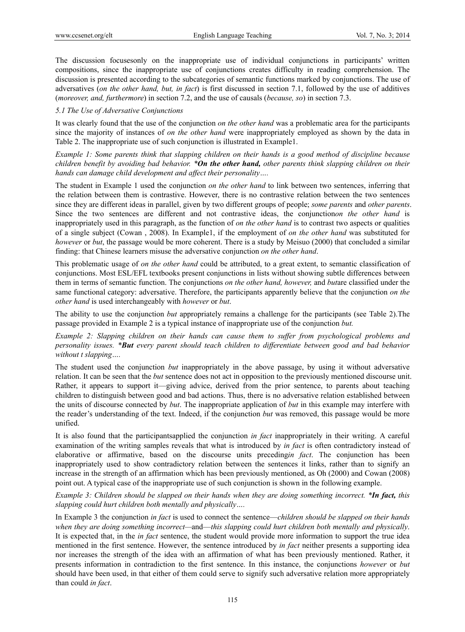The discussion focusesonly on the inappropriate use of individual conjunctions in participants' written compositions, since the inappropriate use of conjunctions creates difficulty in reading comprehension. The discussion is presented according to the subcategories of semantic functions marked by conjunctions. The use of adversatives (*on the other hand, but, in fact*) is first discussed in section 7.1, followed by the use of additives (*moreover, and, furthermore*) in section 7.2, and the use of causals (*because, so*) in section 7.3.

## *5.1 The Use of Adversative Conjunctions*

It was clearly found that the use of the conjunction *on the other hand* was a problematic area for the participants since the majority of instances of *on the other hand* were inappropriately employed as shown by the data in Table 2. The inappropriate use of such conjunction is illustrated in Example1.

*Example 1: Some parents think that slapping children on their hands is a good method of discipline because children benefit by avoiding bad behavior. \*On the other hand, other parents think slapping children on their hands can damage child development and affect their personality….* 

The student in Example 1 used the conjunction *on the other hand* to link between two sentences, inferring that the relation between them is contrastive. However, there is no contrastive relation between the two sentences since they are different ideas in parallel, given by two different groups of people; *some parents* and *other parents*. Since the two sentences are different and not contrastive ideas, the conjunction*on the other hand* is inappropriately used in this paragraph, as the function of *on the other hand* is to contrast two aspects or qualities of a single subject (Cowan , 2008). In Example1, if the employment of *on the other hand* was substituted for *however* or *but*, the passage would be more coherent. There is a study by Meisuo (2000) that concluded a similar finding: that Chinese learners misuse the adversative conjunction *on the other hand*.

This problematic usage of *on the other hand* could be attributed, to a great extent, to semantic classification of conjunctions. Most ESL/EFL textbooks present conjunctions in lists without showing subtle differences between them in terms of semantic function. The conjunctions *on the other hand, however,* and *but*are classified under the same functional category: adversative. Therefore, the participants apparently believe that the conjunction *on the other hand* is used interchangeably with *however* or *but*.

The ability to use the conjunction *but* appropriately remains a challenge for the participants (see Table 2).The passage provided in Example 2 is a typical instance of inappropriate use of the conjunction *but.*

*Example 2: Slapping children on their hands can cause them to suffer from psychological problems and personality issues. \*But every parent should teach children to differentiate between good and bad behavior without t slapping….* 

The student used the conjunction *but* inappropriately in the above passage, by using it without adversative relation. It can be seen that the *but* sentence does not act in opposition to the previously mentioned discourse unit. Rather, it appears to support it—giving advice, derived from the prior sentence, to parents about teaching children to distinguish between good and bad actions. Thus, there is no adversative relation established between the units of discourse connected by *but*. The inappropriate application of *but* in this example may interfere with the reader's understanding of the text. Indeed, if the conjunction *but* was removed, this passage would be more unified.

It is also found that the participantsapplied the conjunction *in fact* inappropriately in their writing. A careful examination of the writing samples reveals that what is introduced by *in fact* is often contradictory instead of elaborative or affirmative, based on the discourse units preceding*in fact*. The conjunction has been inappropriately used to show contradictory relation between the sentences it links, rather than to signify an increase in the strength of an affirmation which has been previously mentioned, as Oh (2000) and Cowan (2008) point out. A typical case of the inappropriate use of such conjunction is shown in the following example.

## *Example 3: Children should be slapped on their hands when they are doing something incorrect. \*In fact, this slapping could hurt children both mentally and physically….*

In Example 3 the conjunction *in fact* is used to connect the sentence—*children should be slapped on their hands when they are doing something incorrect—*and—*this slapping could hurt children both mentally and physically*. It is expected that, in the *in fact* sentence, the student would provide more information to support the true idea mentioned in the first sentence. However, the sentence introduced by *in fact* neither presents a supporting idea nor increases the strength of the idea with an affirmation of what has been previously mentioned. Rather, it presents information in contradiction to the first sentence. In this instance, the conjunctions *however* or *but* should have been used, in that either of them could serve to signify such adversative relation more appropriately than could *in fact*.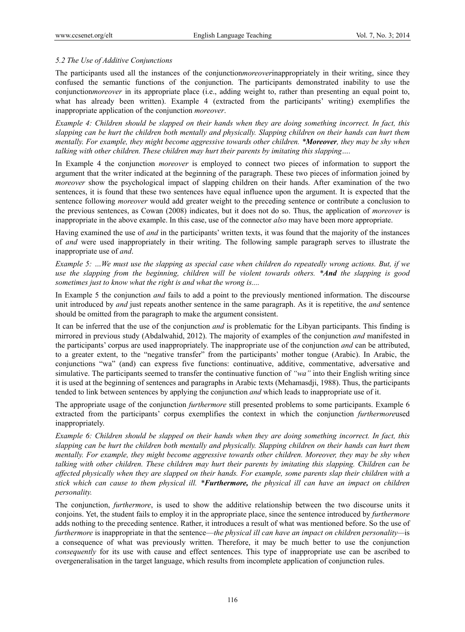## *5.2 The Use of Additive Conjunctions*

The participants used all the instances of the conjunction*moreover*inappropriately in their writing, since they confused the semantic functions of the conjunction. The participants demonstrated inability to use the conjunction*moreover* in its appropriate place (i.e., adding weight to, rather than presenting an equal point to, what has already been written). Example 4 (extracted from the participants' writing) exemplifies the inappropriate application of the conjunction *moreover*.

*Example 4: Children should be slapped on their hands when they are doing something incorrect. In fact, this slapping can be hurt the children both mentally and physically. Slapping children on their hands can hurt them mentally. For example, they might become aggressive towards other children. \*Moreover, they may be shy when talking with other children. These children may hurt their parents by imitating this slapping….* 

In Example 4 the conjunction *moreover* is employed to connect two pieces of information to support the argument that the writer indicated at the beginning of the paragraph. These two pieces of information joined by *moreover* show the psychological impact of slapping children on their hands. After examination of the two sentences, it is found that these two sentences have equal influence upon the argument. It is expected that the sentence following *moreover* would add greater weight to the preceding sentence or contribute a conclusion to the previous sentences, as Cowan (2008) indicates, but it does not do so. Thus, the application of *moreover* is inappropriate in the above example. In this case, use of the connector *also* may have been more appropriate.

Having examined the use of *and* in the participants' written texts, it was found that the majority of the instances of *and* were used inappropriately in their writing. The following sample paragraph serves to illustrate the inappropriate use of *and*.

*Example 5: …We must use the slapping as special case when children do repeatedly wrong actions. But, if we use the slapping from the beginning, children will be violent towards others. \*And the slapping is good sometimes just to know what the right is and what the wrong is....* 

In Example 5 the conjunction *and* fails to add a point to the previously mentioned information. The discourse unit introduced by *and* just repeats another sentence in the same paragraph. As it is repetitive, the *and* sentence should be omitted from the paragraph to make the argument consistent.

It can be inferred that the use of the conjunction *and* is problematic for the Libyan participants. This finding is mirrored in previous study (Abdalwahid, 2012). The majority of examples of the conjunction *and* manifested in the participants' corpus are used inappropriately. The inappropriate use of the conjunction *and* can be attributed, to a greater extent, to the "negative transfer" from the participants' mother tongue (Arabic). In Arabic, the conjunctions "wa" (and) can express five functions: continuative, additive, commentative, adversative and simulative. The participants seemed to transfer the continuative function of *"wa"* into their English writing since it is used at the beginning of sentences and paragraphs in Arabic texts (Mehamasdji, 1988). Thus, the participants tended to link between sentences by applying the conjunction *and* which leads to inappropriate use of it.

The appropriate usage of the conjunction *furthermore* still presented problems to some participants. Example 6 extracted from the participants' corpus exemplifies the context in which the conjunction *furthermore*used inappropriately.

*Example 6: Children should be slapped on their hands when they are doing something incorrect. In fact, this slapping can be hurt the children both mentally and physically. Slapping children on their hands can hurt them mentally. For example, they might become aggressive towards other children. Moreover, they may be shy when talking with other children. These children may hurt their parents by imitating this slapping. Children can be affected physically when they are slapped on their hands. For example, some parents slap their children with a stick which can cause to them physical ill. \*Furthermore, the physical ill can have an impact on children personality.* 

The conjunction, *furthermore*, is used to show the additive relationship between the two discourse units it conjoins. Yet, the student fails to employ it in the appropriate place, since the sentence introduced by *furthermore* adds nothing to the preceding sentence. Rather, it introduces a result of what was mentioned before. So the use of *furthermore* is inappropriate in that the sentence—*the physical ill can have an impact on children personality—*is a consequence of what was previously written. Therefore, it may be much better to use the conjunction *consequently* for its use with cause and effect sentences. This type of inappropriate use can be ascribed to overgeneralisation in the target language, which results from incomplete application of conjunction rules.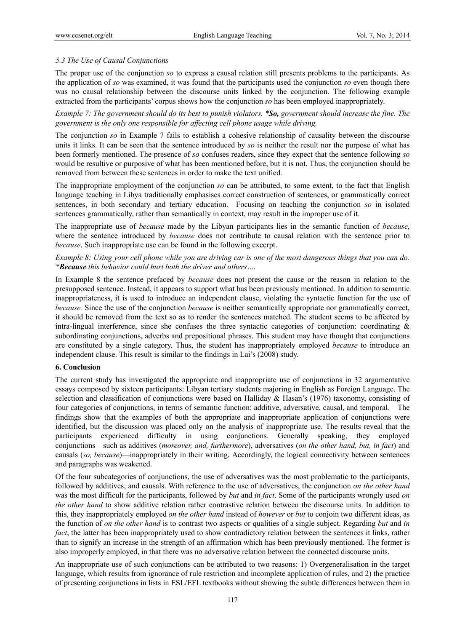## *5.3 The Use of Causal Conjunctions*

The proper use of the conjunction *so* to express a causal relation still presents problems to the participants. As the application of *so* was examined, it was found that the participants used the conjunction *so* even though there was no causal relationship between the discourse units linked by the conjunction. The following example extracted from the participants' corpus shows how the conjunction *so* has been employed inappropriately.

*Example 7: The government should do its best to punish violators. \*So, government should increase the fine. The government is the only one responsible for affecting cell phone usage while driving.* 

The conjunction *so* in Example 7 fails to establish a cohesive relationship of causality between the discourse units it links. It can be seen that the sentence introduced by *so* is neither the result nor the purpose of what has been formerly mentioned. The presence of *so* confuses readers, since they expect that the sentence following *so* would be resultive or purposive of what has been mentioned before, but it is not. Thus, the conjunction should be removed from between these sentences in order to make the text unified.

The inappropriate employment of the conjunction *so* can be attributed, to some extent, to the fact that English language teaching in Libya traditionally emphasises correct construction of sentences, or grammatically correct sentences, in both secondary and tertiary education. Focusing on teaching the conjunction *so* in isolated sentences grammatically, rather than semantically in context, may result in the improper use of it.

The inappropriate use of *because* made by the Libyan participants lies in the semantic function of *because*, where the sentence introduced by *because* does not contribute to causal relation with the sentence prior to *because*. Such inappropriate use can be found in the following excerpt.

*Example 8: Using your cell phone while you are driving car is one of the most dangerous things that you can do. \*Because this behavior could hurt both the driver and others….* 

In Example 8 the sentence prefaced by *because* does not present the cause or the reason in relation to the presupposed sentence. Instead, it appears to support what has been previously mentioned. In addition to semantic inappropriateness, it is used to introduce an independent clause, violating the syntactic function for the use of *because.* Since the use of the conjunction *because* is neither semantically appropriate nor grammatically correct, it should be removed from the text so as to render the sentences matched. The student seems to be affected by intra-lingual interference, since she confuses the three syntactic categories of conjunction: coordinating & subordinating conjunctions, adverbs and prepositional phrases. This student may have thought that conjunctions are constituted by a single category. Thus, the student has inappropriately employed *because* to introduce an independent clause. This result is similar to the findings in Lai's (2008) study.

## **6. Conclusion**

The current study has investigated the appropriate and inappropriate use of conjunctions in 32 argumentative essays composed by sixteen participants: Libyan tertiary students majoring in English as Foreign Language. The selection and classification of conjunctions were based on Halliday & Hasan's (1976) taxonomy, consisting of four categories of conjunctions, in terms of semantic function: additive, adversative, causal, and temporal. The findings show that the examples of both the appropriate and inappropriate application of conjunctions were identified, but the discussion was placed only on the analysis of inappropriate use. The results reveal that the participants experienced difficulty in using conjunctions. Generally speaking, they employed conjunctions—such as additives (*moreover, and, furthermore*), adversatives (*on the other hand, but, in fact*) and causals (*so, because*)—inappropriately in their writing. Accordingly, the logical connectivity between sentences and paragraphs was weakened.

Of the four subcategories of conjunctions, the use of adversatives was the most problematic to the participants, followed by additives, and causals. With reference to the use of adversatives, the conjunction *on the other hand* was the most difficult for the participants, followed by *but* and *in fact*. Some of the participants wrongly used *on the other hand* to show additive relation rather contrastive relation between the discourse units. In addition to this, they inappropriately employed *on the other hand* instead of *however* or *but* to conjoin two different ideas, as the function of *on the other hand* is to contrast two aspects or qualities of a single subject. Regarding *but* and *in fact*, the latter has been inappropriately used to show contradictory relation between the sentences it links, rather than to signify an increase in the strength of an affirmation which has been previously mentioned. The former is also improperly employed, in that there was no adversative relation between the connected discourse units.

An inappropriate use of such conjunctions can be attributed to two reasons: 1) Overgeneralisation in the target language, which results from ignorance of rule restriction and incomplete application of rules, and 2) the practice of presenting conjunctions in lists in ESL/EFL textbooks without showing the subtle differences between them in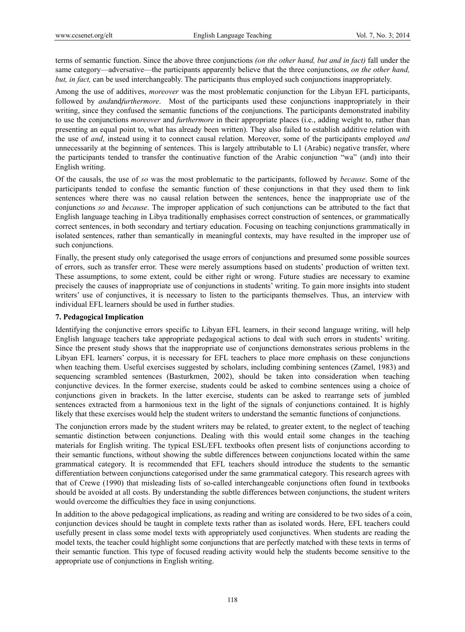terms of semantic function. Since the above three conjunctions *(on the other hand, but and in fact)* fall under the same category—adversative—the participants apparently believe that the three conjunctions, *on the other hand, but, in fact,* can be used interchangeably. The participants thus employed such conjunctions inappropriately.

Among the use of additives, *moreover* was the most problematic conjunction for the Libyan EFL participants, followed by *and*and*furthermore*. Most of the participants used these conjunctions inappropriately in their writing, since they confused the semantic functions of the conjunctions. The participants demonstrated inability to use the conjunctions *moreover* and *furthermore* in their appropriate places (i.e., adding weight to, rather than presenting an equal point to, what has already been written). They also failed to establish additive relation with the use of *and*, instead using it to connect causal relation. Moreover, some of the participants employed *and* unnecessarily at the beginning of sentences. This is largely attributable to L1 (Arabic) negative transfer, where the participants tended to transfer the continuative function of the Arabic conjunction "wa" (and) into their English writing.

Of the causals, the use of *so* was the most problematic to the participants, followed by *because*. Some of the participants tended to confuse the semantic function of these conjunctions in that they used them to link sentences where there was no causal relation between the sentences, hence the inappropriate use of the conjunctions *so* and *because*. The improper application of such conjunctions can be attributed to the fact that English language teaching in Libya traditionally emphasises correct construction of sentences, or grammatically correct sentences, in both secondary and tertiary education. Focusing on teaching conjunctions grammatically in isolated sentences, rather than semantically in meaningful contexts, may have resulted in the improper use of such conjunctions.

Finally, the present study only categorised the usage errors of conjunctions and presumed some possible sources of errors, such as transfer error. These were merely assumptions based on students' production of written text. These assumptions, to some extent, could be either right or wrong. Future studies are necessary to examine precisely the causes of inappropriate use of conjunctions in students' writing. To gain more insights into student writers' use of conjunctives, it is necessary to listen to the participants themselves. Thus, an interview with individual EFL learners should be used in further studies.

## **7. Pedagogical Implication**

Identifying the conjunctive errors specific to Libyan EFL learners, in their second language writing, will help English language teachers take appropriate pedagogical actions to deal with such errors in students' writing. Since the present study shows that the inappropriate use of conjunctions demonstrates serious problems in the Libyan EFL learners' corpus, it is necessary for EFL teachers to place more emphasis on these conjunctions when teaching them. Useful exercises suggested by scholars, including combining sentences (Zamel, 1983) and sequencing scrambled sentences (Basturkmen, 2002), should be taken into consideration when teaching conjunctive devices. In the former exercise, students could be asked to combine sentences using a choice of conjunctions given in brackets. In the latter exercise, students can be asked to rearrange sets of jumbled sentences extracted from a harmonious text in the light of the signals of conjunctions contained. It is highly likely that these exercises would help the student writers to understand the semantic functions of conjunctions.

The conjunction errors made by the student writers may be related, to greater extent, to the neglect of teaching semantic distinction between conjunctions. Dealing with this would entail some changes in the teaching materials for English writing. The typical ESL/EFL textbooks often present lists of conjunctions according to their semantic functions, without showing the subtle differences between conjunctions located within the same grammatical category. It is recommended that EFL teachers should introduce the students to the semantic differentiation between conjunctions categorised under the same grammatical category. This research agrees with that of Crewe (1990) that misleading lists of so-called interchangeable conjunctions often found in textbooks should be avoided at all costs. By understanding the subtle differences between conjunctions, the student writers would overcome the difficulties they face in using conjunctions.

In addition to the above pedagogical implications, as reading and writing are considered to be two sides of a coin, conjunction devices should be taught in complete texts rather than as isolated words. Here, EFL teachers could usefully present in class some model texts with appropriately used conjunctives. When students are reading the model texts, the teacher could highlight some conjunctions that are perfectly matched with these texts in terms of their semantic function. This type of focused reading activity would help the students become sensitive to the appropriate use of conjunctions in English writing.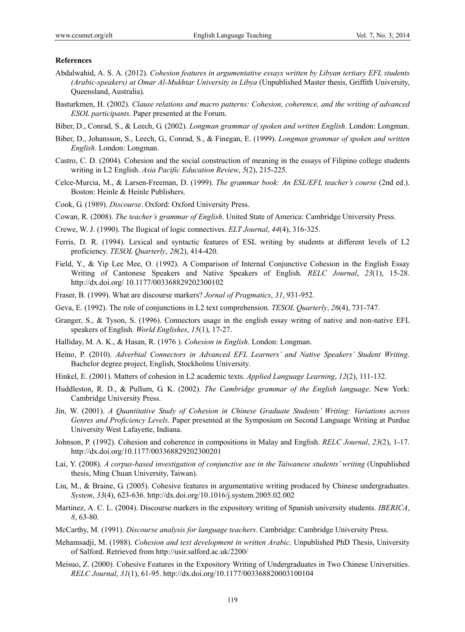#### **References**

- Abdalwahid, A. S. A. (2012). *Cohesion features in argumentative essays written by Libyan tertiary EFL students (Arabic-speakers) at Omar Al-Mukhtar University in Libya* (Unpublished Master thesis, Griffith University, Queensland, Australia).
- Basturkmen, H. (2002). *Clause relations and macro patterns: Cohesion, coherence, and the writing of advanced ESOL participants*. Paper presented at the Forum.
- Biber, D., Conrad, S., & Leech, G. (2002). *Longman grammar of spoken and written English*. London: Longman.
- Biber, D., Johansson, S., Leech, G., Conrad, S., & Finegan, E. (1999). *Longman grammar of spoken and written English*. London: Longman.
- Castro, C. D. (2004). Cohesion and the social construction of meaning in the essays of Filipino college students writing in L2 English. *Asia Pacific Education Review*, *5*(2), 215-225.
- Celce-Murcia, M., & Larsen-Freeman, D. (1999). *The grammar book: An ESL/EFL teacher's course* (2nd ed.). Boston: Heinle & Heinle Publishers.
- Cook, G. (1989). *Discourse*. Oxford: Oxford University Press.
- Cowan, R. (2008). *The teacher's grammar of English*. United State of America: Cambridge University Press.
- Crewe, W. J. (1990). The Ilogical of logic connectives. *ELT Journal*, *44*(4), 316-325.
- Ferris, D. R. (1994). Lexical and syntactic features of ESL writing by students at different levels of L2 proficiency. *TESOL Quarterly*, *28*(2), 414-420.
- Field, Y., & Yip Lee Mee, O. (1992). A Comparison of Internal Conjunctive Cohesion in the English Essay Writing of Cantonese Speakers and Native Speakers of English. *RELC Journal*, *23*(1), 15-28. http://dx.doi.org/ 10.1177/003368829202300102
- Fraser, B. (1999). What are discourse markers? *Jornal of Pragmatics*, *31*, 931-952.
- Geva, E. (1992). The role of conjunctions in L2 text comprehension. *TESOL Quarterly*, *26*(4), 731-747.
- Granger, S., & Tyson, S. (1996). Connectors usage in the english essay writng of native and non-native EFL speakers of English. *World Englishes*, *15*(1), 17-27.
- Halliday, M. A. K., & Hasan, R. (1976 ). *Cohesion in English*. London: Longman.
- Heino, P. (2010). *Adverbial Connectors in Advanced EFL Learners' and Native Speakers' Student Writing*. Bachelor degree project, English, Stockholms University.
- Hinkel, E. (2001). Matters of cohesion in L2 academic texts. *Applied Language Learning*, *12*(2), 111-132.
- Huddleston, R. D., & Pullum, G. K. (2002). *The Cambridge grammar of the English language*. New York: Cambridge University Press.
- Jin, W. (2001). *A Quantitative Study of Cohesion in Chinese Graduate Students' Writing: Variations across Genres and Proficiency Levels*. Paper presented at the Symposium on Second Language Writing at Purdue University West Lafayette, Indiana.
- Johnson, P. (1992). Cohesion and coherence in compositions in Malay and English. *RELC Journal*, *23*(2), 1-17. http://dx.doi.org/10.1177/003368829202300201
- Lai, Y. (2008). *A corpus-based investigation of conjunctive use in the Taiwanese students' writing* (Unpublished thesis, Ming Chuan University, Taiwan).
- Liu, M., & Braine, G. (2005). Cohesive features in argumentative writing produced by Chinese undergraduates. *System*, *33*(4), 623-636. http://dx.doi.org/10.1016/j.system.2005.02.002
- Martinez, A. C. L. (2004). Discourse markers in the expository writing of Spanish university students. *IBERICA*, *8*, 63-80.
- McCarthy, M. (1991). *Discourse analysis for language teachers*. Cambridge: Cambridge University Press.
- Mehamsadji, M. (1988). *Cohesion and text development in written Arabic*. Unpublished PhD Thesis, University of Salford. Retrieved from http://usir.salford.ac.uk/2200/
- Meisuo, Z. (2000). Cohesive Features in the Expository Writing of Undergraduates in Two Chinese Universities. *RELC Journal*, *31*(1), 61-95. http://dx.doi.org/10.1177/003368820003100104